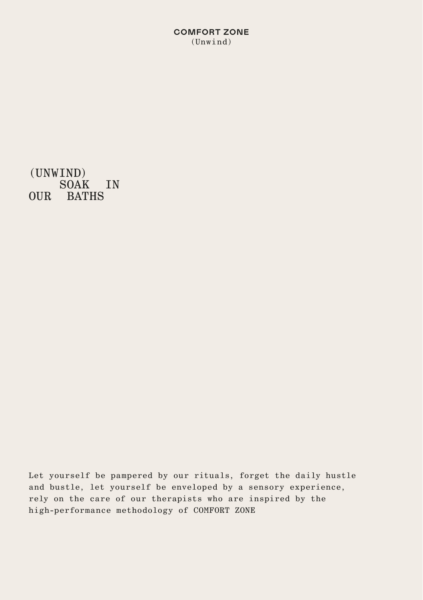**COMFORT ZONE** (Unwind)

(UNWIND) SOAK IN OUR BATHS

Let yourself be pampered by our rituals, forget the daily hustle and bustle, let yourself be enveloped by a sensory experience, rely on the care of our therapists who are inspired by the high-performance methodology of COMFORT ZONE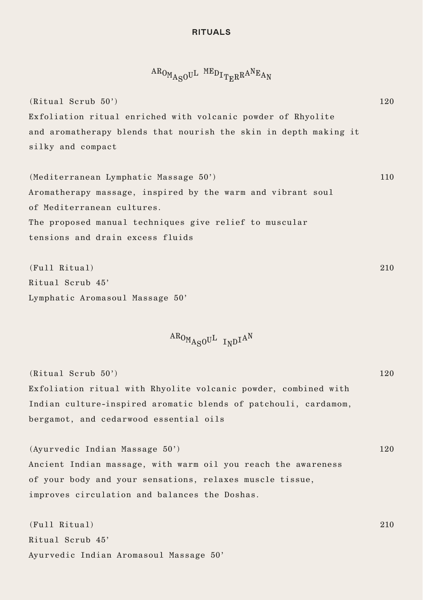## **RITUALS**

 $ARO<sub>MA<sub>S</sub>O</sub>U<sup>L</sup>$   $MED<sub>ITRR</sub> A<sup>N</sup>E<sub>AN</sub>$ 

(Ritual Scrub 50') Exfoliation ritual enriched with volcanic powder of Rhyolite and aromatherapy blends that nourish the skin in depth making it silky and compact 120

(Mediterranean Lymphatic Massage 50') Aromatherapy massage, inspired by the warm and vibrant soul of Mediterranean cultures. The proposed manual techniques give relief to muscular tensions and drain excess fluids 110

(Full Ritual) Ritual Scrub 45' Lymphatic Aromasoul Massage 50' 210

 $AB_{OM_{A\alpha}O}U^L$  I<sub>N</sub>D<sup>IAN</sup>

(Ritual Scrub 50') Exfoliation ritual with Rhyolite volcanic powder, combined with Indian culture-inspired aromatic blends of patchouli, cardamom, bergamot, and cedarwood essential oils 120

(Ayurvedic Indian Massage 50') Ancient Indian massage, with warm oil you reach the awareness of your body and your sensations, relaxes muscle tissue, improves circulation and balances the Doshas. 120

210

(Full Ritual) Ritual Scrub 45' Ayurvedic Indian Aromasoul Massage 50'